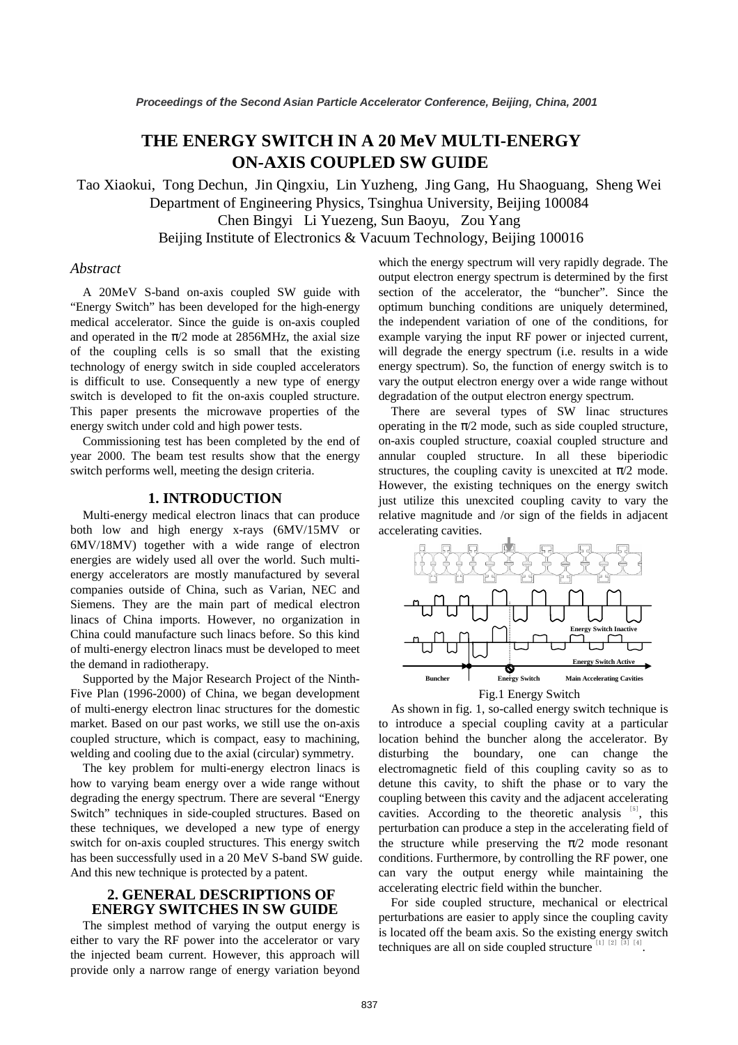# **THE ENERGY SWITCH IN A 20 MeV MULTI-ENERGY ON-AXIS COUPLED SW GUIDE**

Tao Xiaokui, Tong Dechun, Jin Qingxiu, Lin Yuzheng, Jing Gang, Hu Shaoguang, Sheng Wei Department of Engineering Physics, Tsinghua University, Beijing 100084 Chen Bingyi Li Yuezeng, Sun Baoyu, Zou Yang Beijing Institute of Electronics & Vacuum Technology, Beijing 100016

### *Abstract*

A 20MeV S-band on-axis coupled SW guide with "Energy Switch" has been developed for the high-energy medical accelerator. Since the guide is on-axis coupled and operated in the  $\pi/2$  mode at 2856MHz, the axial size of the coupling cells is so small that the existing technology of energy switch in side coupled accelerators is difficult to use. Consequently a new type of energy switch is developed to fit the on-axis coupled structure. This paper presents the microwave properties of the energy switch under cold and high power tests.

Commissioning test has been completed by the end of year 2000. The beam test results show that the energy switch performs well, meeting the design criteria.

## **1. INTRODUCTION**

Multi-energy medical electron linacs that can produce both low and high energy x-rays (6MV/15MV or 6MV/18MV) together with a wide range of electron energies are widely used all over the world. Such multienergy accelerators are mostly manufactured by several companies outside of China, such as Varian, NEC and Siemens. They are the main part of medical electron linacs of China imports. However, no organization in China could manufacture such linacs before. So this kind of multi-energy electron linacs must be developed to meet the demand in radiotherapy.

Supported by the Major Research Project of the Ninth-Five Plan (1996-2000) of China, we began development of multi-energy electron linac structures for the domestic market. Based on our past works, we still use the on-axis coupled structure, which is compact, easy to machining, welding and cooling due to the axial (circular) symmetry.

The key problem for multi-energy electron linacs is how to varying beam energy over a wide range without degrading the energy spectrum. There are several "Energy Switch" techniques in side-coupled structures. Based on these techniques, we developed a new type of energy switch for on-axis coupled structures. This energy switch has been successfully used in a 20 MeV S-band SW guide. And this new technique is protected by a patent.

## **2. GENERAL DESCRIPTIONS OF ENERGY SWITCHES IN SW GUIDE**

The simplest method of varying the output energy is either to vary the RF power into the accelerator or vary the injected beam current. However, this approach will provide only a narrow range of energy variation beyond which the energy spectrum will very rapidly degrade. The output electron energy spectrum is determined by the first section of the accelerator, the "buncher". Since the optimum bunching conditions are uniquely determined, the independent variation of one of the conditions, for example varying the input RF power or injected current, will degrade the energy spectrum (i.e. results in a wide energy spectrum). So, the function of energy switch is to vary the output electron energy over a wide range without degradation of the output electron energy spectrum.

There are several types of SW linac structures operating in the  $\pi/2$  mode, such as side coupled structure, on-axis coupled structure, coaxial coupled structure and annular coupled structure. In all these biperiodic structures, the coupling cavity is unexcited at  $\pi/2$  mode. However, the existing techniques on the energy switch just utilize this unexcited coupling cavity to vary the relative magnitude and /or sign of the fields in adjacent accelerating cavities.



As shown in fig. 1, so-called energy switch technique is to introduce a special coupling cavity at a particular location behind the buncher along the accelerator. By disturbing the boundary, one can change the electromagnetic field of this coupling cavity so as to detune this cavity, to shift the phase or to vary the coupling between this cavity and the adjacent accelerating cavities. According to the theoretic analysis  $[5]$ , this perturbation can produce a step in the accelerating field of the structure while preserving the  $\pi/2$  mode resonant conditions. Furthermore, by controlling the RF power, one can vary the output energy while maintaining the accelerating electric field within the buncher.

For side coupled structure, mechanical or electrical perturbations are easier to apply since the coupling cavity is located off the beam axis. So the existing energy switch techniques are all on side coupled structure  $\left[1\right]$   $\left[2\right]$   $\left[3\right]$   $\left[4\right]$ .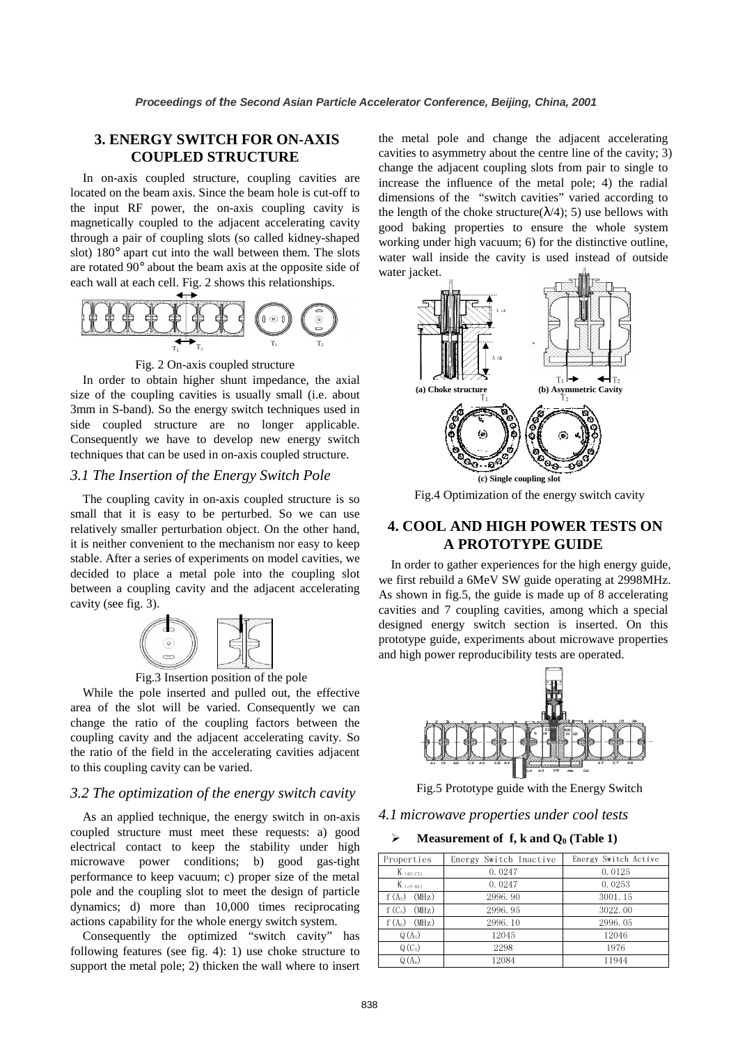# **3. ENERGY SWITCH FOR ON-AXIS COUPLED STRUCTURE**

In on-axis coupled structure, coupling cavities are located on the beam axis. Since the beam hole is cut-off to the input RF power, the on-axis coupling cavity is magnetically coupled to the adjacent accelerating cavity through a pair of coupling slots (so called kidney-shaped slot) 180° apart cut into the wall between them. The slots are rotated 90° about the beam axis at the opposite side of each wall at each cell. Fig. 2 shows this relationships.





In order to obtain higher shunt impedance, the axial size of the coupling cavities is usually small (i.e. about 3mm in S-band). So the energy switch techniques used in side coupled structure are no longer applicable. Consequently we have to develop new energy switch techniques that can be used in on-axis coupled structure.

### *3.1 The Insertion of the Energy Switch Pole*

The coupling cavity in on-axis coupled structure is so small that it is easy to be perturbed. So we can use relatively smaller perturbation object. On the other hand, it is neither convenient to the mechanism nor easy to keep stable. After a series of experiments on model cavities, we decided to place a metal pole into the coupling slot between a coupling cavity and the adjacent accelerating cavity (see fig. 3).



Fig.3 Insertion position of the pole

While the pole inserted and pulled out, the effective area of the slot will be varied. Consequently we can change the ratio of the coupling factors between the coupling cavity and the adjacent accelerating cavity. So the ratio of the field in the accelerating cavities adjacent to this coupling cavity can be varied.

### *3.2 The optimization of the energy switch cavity*

As an applied technique, the energy switch in on-axis coupled structure must meet these requests: a) good electrical contact to keep the stability under high microwave power conditions; b) good gas-tight performance to keep vacuum; c) proper size of the metal pole and the coupling slot to meet the design of particle dynamics; d) more than 10,000 times reciprocating actions capability for the whole energy switch system.

Consequently the optimized "switch cavity" has following features (see fig. 4): 1) use choke structure to support the metal pole; 2) thicken the wall where to insert

the metal pole and change the adjacent accelerating cavities to asymmetry about the centre line of the cavity; 3) change the adjacent coupling slots from pair to single to increase the influence of the metal pole; 4) the radial dimensions of the "switch cavities" varied according to the length of the choke structure( $\lambda$ /4); 5) use bellows with good baking properties to ensure the whole system working under high vacuum; 6) for the distinctive outline, water wall inside the cavity is used instead of outside water jacket.



Fig.4 Optimization of the energy switch cavity

# **4. COOL AND HIGH POWER TESTS ON A PROTOTYPE GUIDE**

In order to gather experiences for the high energy guide, we first rebuild a 6MeV SW guide operating at 2998MHz. As shown in fig.5, the guide is made up of 8 accelerating cavities and 7 coupling cavities, among which a special designed energy switch section is inserted. On this prototype guide, experiments about microwave properties and high power reproducibility tests are operated.



Fig.5 Prototype guide with the Energy Switch

#### *4.1 microwave properties under cool tests*

#### **Measurement of f, k and**  $Q_0$  **(Table 1)**

| Properties        | Energy Switch Inactive | Energy Switch Active |  |
|-------------------|------------------------|----------------------|--|
| $K$ (A5-C5)       | 0.0247                 | 0.0125               |  |
| $K$ (c5-A6)       | 0.0247                 | 0.0253               |  |
| $f(A_5)$ (MHz)    | 2996.90                | 3001.15              |  |
| (MHz)<br>$f(C_5)$ | 2996.95                | 3022.00              |  |
| (MHz)<br>$f(A_6)$ | 2996.10                | 2996.05              |  |
| $Q(A_5)$          | 12045                  | 12046                |  |
| $Q(C_5)$          | 2298                   | 1976                 |  |
| $Q(A_6)$          | 12084                  | 11944                |  |